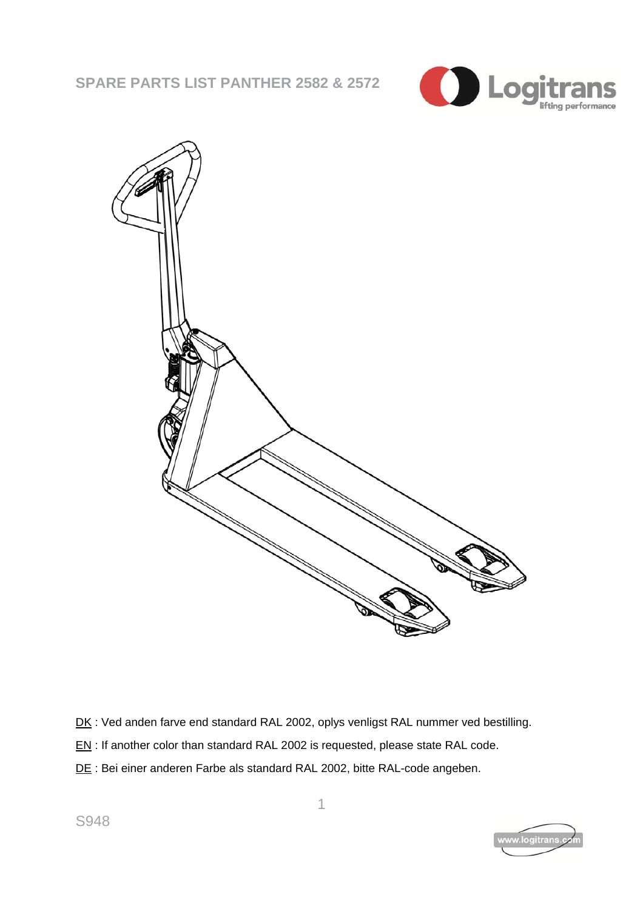



- DK: Ved anden farve end standard RAL 2002, oplys venligst RAL nummer ved bestilling.
- EN: If another color than standard RAL 2002 is requested, please state RAL code.
- DE : Bei einer anderen Farbe als standard RAL 2002, bitte RAL-code angeben.

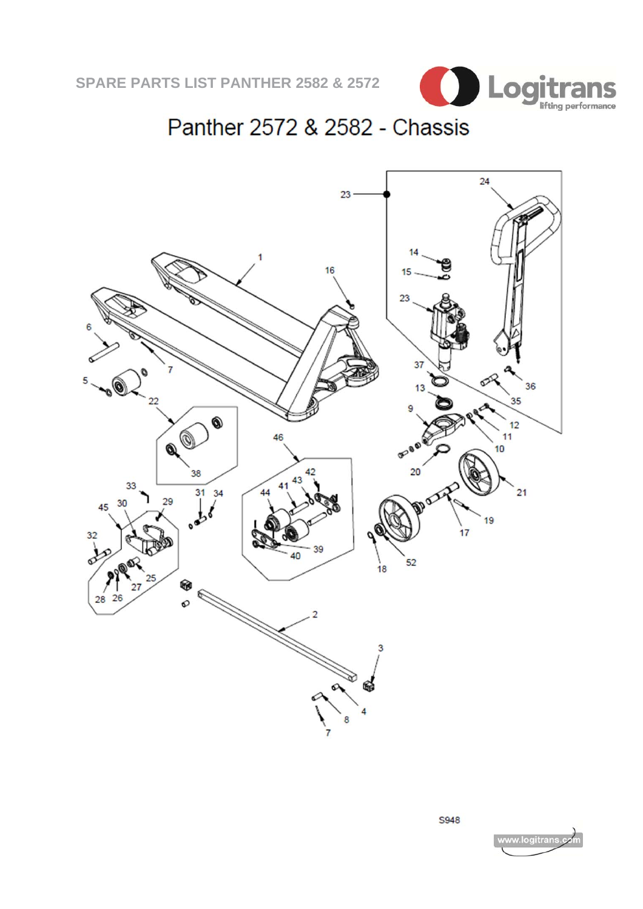

# Panther 2572 & 2582 - Chassis



**S948**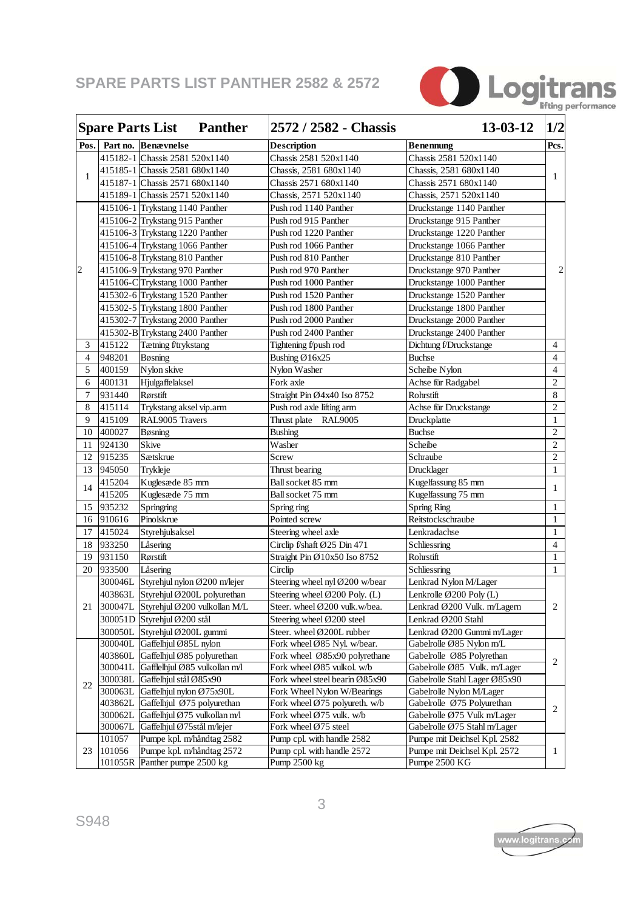

|                |                                | <b>Spare Parts List Panther</b>       |  | 2572 / 2582 - Chassis          | $13 - 03 - 12$                | 1/2            |  |
|----------------|--------------------------------|---------------------------------------|--|--------------------------------|-------------------------------|----------------|--|
| Pos.           |                                | Part no. Benævnelse                   |  | <b>Description</b>             | <b>Benennung</b>              | Pcs.           |  |
|                |                                | 415182-1 Chassis 2581 520x1140        |  | Chassis 2581 520x1140          | Chassis 2581 520x1140         |                |  |
|                |                                | 415185-1 Chassis 2581 680x1140        |  | Chassis, 2581 680x1140         | Chassis, 2581 680x1140        |                |  |
| $\mathbf{1}$   |                                | 415187-1 Chassis 2571 680x1140        |  | Chassis 2571 680x1140          | Chassis 2571 680x1140         | 1              |  |
|                |                                | 415189-1 Chassis 2571 520x1140        |  | Chassis, 2571 520x1140         | Chassis, 2571 520x1140        |                |  |
|                |                                | 415106-1 Trykstang 1140 Panther       |  | Push rod 1140 Panther          | Druckstange 1140 Panther      |                |  |
|                |                                | 415106-2 Trykstang 915 Panther        |  | Push rod 915 Panther           | Druckstange 915 Panther       |                |  |
|                |                                | 415106-3 Trykstang 1220 Panther       |  | Push rod 1220 Panther          | Druckstange 1220 Panther      |                |  |
|                |                                | 415106-4 Trykstang 1066 Panther       |  | Push rod 1066 Panther          | Druckstange 1066 Panther      |                |  |
|                |                                | 415106-8 Trykstang 810 Panther        |  | Push rod 810 Panther           | Druckstange 810 Panther       |                |  |
| $\overline{c}$ | 415106-9 Trykstang 970 Panther |                                       |  | Push rod 970 Panther           | Druckstange 970 Panther       | 2              |  |
|                |                                | 415106-C Trykstang 1000 Panther       |  | Push rod 1000 Panther          | Druckstange 1000 Panther      |                |  |
|                |                                | 415302-6 Trykstang 1520 Panther       |  | Push rod 1520 Panther          | Druckstange 1520 Panther      |                |  |
|                |                                | 415302-5 Trykstang 1800 Panther       |  | Push rod 1800 Panther          | Druckstange 1800 Panther      |                |  |
|                |                                | 415302-7 Trykstang 2000 Panther       |  | Push rod 2000 Panther          | Druckstange 2000 Panther      |                |  |
|                |                                | 415302-B Trykstang 2400 Panther       |  | Push rod 2400 Panther          | Druckstange 2400 Panther      |                |  |
| 3              | 415122                         | Tætning f/trykstang                   |  | Tightening f/push rod          | Dichtung f/Druckstange        | 4              |  |
| $\overline{4}$ | 948201                         | <b>B</b> øsning                       |  | Bushing $Ø16x25$               | <b>Buchse</b>                 | $\overline{4}$ |  |
| 5              | 400159                         | Nylon skive                           |  | Nylon Washer                   | Scheibe Nylon                 | $\overline{4}$ |  |
| 6              | 400131                         | Hjulgaffelaksel                       |  | Fork axle                      | Achse für Radgabel            | $\overline{2}$ |  |
| $\tau$         | 931440                         | Rørstift                              |  | Straight Pin Ø4x40 Iso 8752    | Rohrstift                     | 8              |  |
| 8              | 415114                         | Trykstang aksel vip.arm               |  | Push rod axle lifting arm      | Achse für Druckstange         | $\overline{2}$ |  |
| 9              | 415109                         | RAL9005 Travers                       |  | Thrust plate RAL9005           | Druckplatte                   | 1              |  |
| 10             | 400027                         | <b>B</b> øsning                       |  | <b>Bushing</b>                 | <b>Buchse</b>                 | $\sqrt{2}$     |  |
| 11             | 924130                         | <b>Skive</b>                          |  | Washer                         | Scheibe                       | $\mathbf{2}$   |  |
| 12             | 915235                         | Sætskrue                              |  | Screw                          | Schraube                      | $\sqrt{2}$     |  |
| 13             | 945050                         | Trykleje                              |  | Thrust bearing                 | Drucklager                    | 1              |  |
|                | 415204                         | Kuglesæde 85 mm                       |  | Ball socket 85 mm              | Kugelfassung 85 mm            |                |  |
| 14             | 415205                         | Kuglesæde 75 mm                       |  | Ball socket 75 mm              | Kugelfassung 75 mm            | 1              |  |
| 15             | 935232                         | Springring                            |  | Spring ring                    | <b>Spring Ring</b>            | 1              |  |
| 16             | 910616                         | Pinolskrue                            |  | Pointed screw                  | Reitstockschraube             | $\mathbf{1}$   |  |
| 17             | 415024                         | Styrehjulsaksel                       |  | Steering wheel axle            | Lenkradachse                  | $\mathbf{1}$   |  |
| 18             | 933250                         | Låsering                              |  | Circlip f/shaft Ø25 Din 471    | Schliessring                  | $\overline{4}$ |  |
| 19             | 931150                         | Rørstift                              |  | Straight Pin Ø10x50 Iso 8752   | Rohrstift                     | $\mathbf{1}$   |  |
| 20             | 933500                         | Låsering                              |  | Circlip                        | Schliessring                  | 1              |  |
|                | 300046L                        | Styrehjul nylon Ø200 m/lejer          |  | Steering wheel nyl Ø200 w/bear | Lenkrad Nylon M/Lager         |                |  |
|                |                                | 403863L Styrehjul Ø200L polyurethan   |  | Steering wheel Ø200 Poly. (L)  | Lenkrolle Ø200 Poly (L)       |                |  |
| 21             |                                | 300047L Styrehjul Ø200 vulkollan M/L  |  | Steer. wheel Ø200 vulk.w/bea.  | Lenkrad Ø200 Vulk. m/Lagern   | 2              |  |
|                |                                | 300051D Styrehjul Ø200 stål           |  | Steering wheel Ø200 steel      | Lenkrad Ø200 Stahl            |                |  |
|                |                                | 300050L Styrehjul Ø200L gummi         |  | Steer. wheel Ø200L rubber      | Lenkrad Ø200 Gummi m/Lager    |                |  |
|                |                                | 300040L Gaffelhjul Ø85L nylon         |  | Fork wheel Ø85 Nyl. w/bear.    | Gabelrolle Ø85 Nylon m/L      |                |  |
|                |                                | 403860L Gaffelhjul Ø85 polyurethan    |  | Fork wheel Ø85x90 polyrethane  | Gabelrolle Ø85 Polyrethan     |                |  |
|                |                                | 300041L Gafflelhjul Ø85 vulkollan m/l |  | Fork wheel Ø85 vulkol. w/b     | Gabelrolle Ø85 Vulk. m/Lager  | 2              |  |
| 22             | 300038L                        | Gaffelhjul stål Ø85x90                |  | Fork wheel steel bearin Ø85x90 | Gabelrolle Stahl Lager Ø85x90 |                |  |
|                | 300063L                        | Gaffelhjul nylon Ø75x90L              |  | Fork Wheel Nylon W/Bearings    | Gabelrolle Nylon M/Lager      |                |  |
|                | 403862L                        | Gaffelhjul Ø75 polyurethan            |  | Fork wheel Ø75 polyureth. w/b  | Gabelrolle Ø75 Polyurethan    | 2              |  |
|                | 300062L                        | Gaffelhjul Ø75 vulkollan m/l          |  | Fork wheel Ø75 vulk. w/b       | Gabelrolle Ø75 Vulk m/Lager   |                |  |
|                | 300067L                        | Gaffelhjul Ø75stål m/lejer            |  | Fork wheel Ø75 steel           | Gabelrolle Ø75 Stahl m/Lager  |                |  |
|                | 101057                         | Pumpe kpl. m/håndtag 2582             |  | Pump cpl. with handle 2582     | Pumpe mit Deichsel Kpl. 2582  |                |  |
| 23             | 101056                         | Pumpe kpl. m/håndtag 2572             |  | Pump cpl. with handle 2572     | Pumpe mit Deichsel Kpl. 2572  | 1              |  |
|                |                                | 101055R Panther pumpe 2500 kg         |  | Pump 2500 kg                   | Pumpe 2500 KG                 |                |  |

r

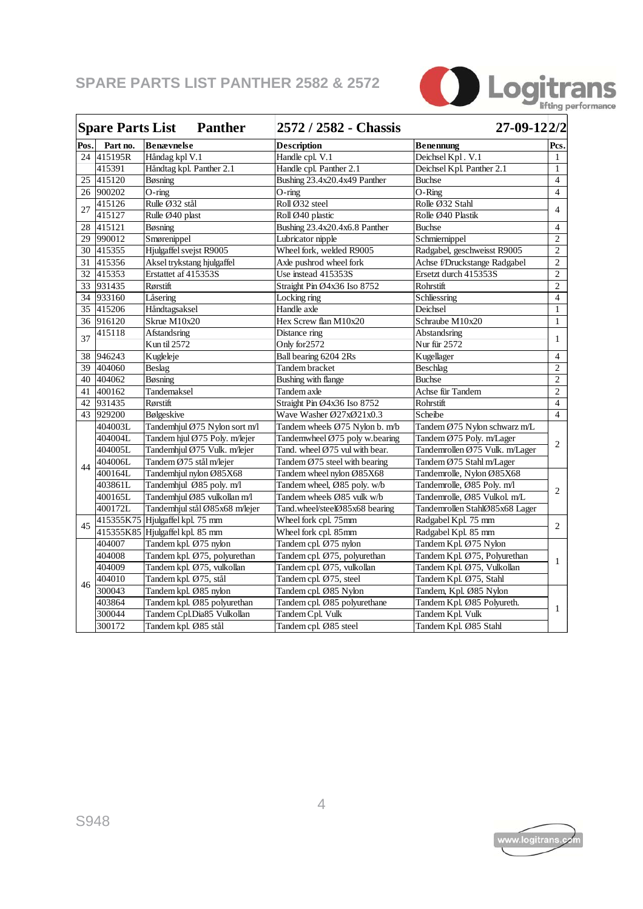

|                 | <b>Spare Parts List</b> | <b>Panther</b>                 | 2572 / 2582 - Chassis                      | 27-09-122/2                    |                |  |
|-----------------|-------------------------|--------------------------------|--------------------------------------------|--------------------------------|----------------|--|
| Pos.            | Part no.                | <b>Benævnelse</b>              | <b>Description</b>                         | <b>Benennung</b>               | Pcs.           |  |
|                 | 24 415195R              | Håndag kpl V.1                 | Handle cpl. V.1                            | Deichsel Kpl. V.1              | 1              |  |
|                 | 415391                  | Håndtag kpl. Panther 2.1       | Handle cpl. Panther 2.1                    | Deichsel Kpl. Panther 2.1      | $\mathbf{1}$   |  |
| 25              | 415120                  | Bøsning                        | Bushing 23.4x20.4x49 Panther               | <b>Buchse</b>                  | $\overline{4}$ |  |
| 26 <sup>1</sup> | 900202                  | $O$ -ring                      | $O$ -ring                                  | $O-Ring$                       | $\overline{4}$ |  |
| 27              | 415126                  | Rulle Ø32 stål                 | Roll Ø32 steel                             | Rolle Ø32 Stahl                | $\overline{4}$ |  |
|                 | 415127                  | Rulle Ø40 plast                | Roll Ø40 plastic                           | Rolle Ø40 Plastik              |                |  |
| 28              | 415121                  | Bøsning                        | Bushing 23.4x20.4x6.8 Panther              | <b>Buchse</b>                  | $\overline{4}$ |  |
|                 | 29 990012               | Smørenippel                    | Lubricator nipple                          | Schmiernippel                  | $\overline{2}$ |  |
|                 | 30 415355               | Hjulgaffel svejst R9005        | Wheel fork, welded R9005                   | Radgabel, geschweisst R9005    | $\overline{2}$ |  |
|                 | 31 415356               | Aksel trykstang hjulgaffel     | Axle pushrod wheel fork                    | Achse f/Druckstange Radgabel   | $\overline{2}$ |  |
| 32 <sup>1</sup> | 415353                  | Erstattet af 415353S           | Use instead 415353S                        | Ersetzt durch 415353S          | $\overline{2}$ |  |
|                 | 33 931435               | Rørstift                       | Straight Pin Ø4x36 Iso 8752                | Rohrstift                      | $\overline{2}$ |  |
|                 | 34 933160               | Låsering                       | Locking ring                               | Schliessring                   | $\overline{4}$ |  |
|                 | 35 415206               | Håndtagsaksel                  | Handle axle                                | Deichsel                       | $\mathbf{1}$   |  |
|                 | 36 916120               | Skrue M10x20                   | Hex Screw flan M10x20                      | Schraube M10x20                | 1              |  |
| 37              | 415118                  | Afstandsring                   | Distance ring                              | Abstandsring                   | $\mathbf{1}$   |  |
|                 |                         | Kun til 2572                   | Only for 2572                              | Nur für 2572                   |                |  |
|                 | 38 946243               | Kugleleje                      | Ball bearing 6204 2Rs                      | Kugellager                     | $\overline{4}$ |  |
| 39              | 404060                  | Beslag                         | Tandem bracket                             | Beschlag                       | $\overline{2}$ |  |
|                 | 40 404062               | Bøsning                        | Bushing with flange                        | <b>Buchse</b>                  | $\overline{2}$ |  |
| 41              | 400162                  | Tandemaksel                    | Tandem axle                                | Achse für Tandem               | $\overline{2}$ |  |
|                 | 42 931435               | Rørstift                       | Straight Pin Ø4x36 Iso 8752                | Rohrstift                      | $\overline{4}$ |  |
|                 | 43 929200               | Bølgeskive                     | Wave Washer Ø27xØ21x0.3                    | Scheibe                        | $\overline{4}$ |  |
|                 | 404003L                 | Tandemhjul Ø75 Nylon sort m/l  | Tandem wheels Ø75 Nylon b. m/b             | Tandem Ø75 Nylon schwarz m/L   | 2              |  |
|                 | 404004L                 | Tandem hjul Ø75 Poly. m/lejer  | Tandemwheel Ø75 poly w.bearing             | Tandem Ø75 Poly. m/Lager       |                |  |
|                 | 404005L                 | Tandemhjul Ø75 Vulk. m/lejer   | Tand. wheel Ø75 vul with bear.             | Tandemrollen Ø75 Vulk. m/Lager |                |  |
| 44              | 404006L                 | Tandem Ø75 stål m/lejer        | Tandem $\varnothing$ 75 steel with bearing | Tandem Ø75 Stahl m/Lager       |                |  |
|                 | 400164L                 | Tandemhjul nylon Ø85X68        | Tandem wheel nylon Ø85X68                  | Tandemrolle, Nylon Ø85X68      |                |  |
|                 | 403861L                 | Tandemhjul Ø85 poly. m/l       | Tandem wheel, Ø85 poly. w/b                | Tandemrolle, Ø85 Poly. m/l     | 2              |  |
|                 | 400165L                 | Tandemhjul Ø85 vulkollan m/l   | Tandem wheels Ø85 vulk w/b                 | Tandemrolle, Ø85 Vulkol. m/L   |                |  |
|                 | 400172L                 | Tandemhjul stål Ø85x68 m/lejer | Tand.wheel/steelØ85x68 bearing             | Tandemrollen StahlØ85x68 Lager |                |  |
| 45              | 415355K75               | Hjulgaffel kpl. 75 mm          | Wheel fork cpl. 75mm                       | Radgabel Kpl. 75 mm            | $\overline{2}$ |  |
|                 | 415355K85               | Hjulgaffel kpl. 85 mm          | Wheel fork cpl. 85mm                       | Radgabel Kpl. 85 mm            |                |  |
|                 | 404007                  | Tandem kpl. Ø75 nylon          | Tandem cpl. Ø75 nylon                      | Tandem Kpl. Ø75 Nylon          |                |  |
|                 | 404008                  | Tandem kpl. Ø75, polyurethan   | Tandem cpl. Ø75, polyurethan               | Tandem Kpl. Ø75, Polyurethan   | 1              |  |
|                 | 404009                  | Tandem kpl. Ø75, vulkollan     | Tandem cpl. Ø75, vulkollan                 | Tandem Kpl. Ø75, Vulkollan     |                |  |
| 46              | 404010                  | Tandem kpl. Ø75, stål          | Tandem cpl. Ø75, steel                     | Tandem Kpl. Ø75, Stahl         |                |  |
|                 | 300043                  | Tandem kpl. Ø85 nylon          | Tandem cpl. Ø85 Nylon                      | Tandem, Kpl. Ø85 Nylon         |                |  |
|                 | 403864                  | Tandem kpl. Ø85 polyurethan    | Tandem cpl. Ø85 polyurethane               | Tandem Kpl. Ø85 Polyureth.     | 1              |  |
|                 | 300044                  | Tandem Cpl.Dia85 Vulkollan     | Tandem Cpl. Vulk                           | Tandem Kpl. Vulk               |                |  |
|                 | 300172                  | Tandem kpl. Ø85 stål           | Tandem cpl. Ø85 steel                      | Tandem Kpl. Ø85 Stahl          |                |  |

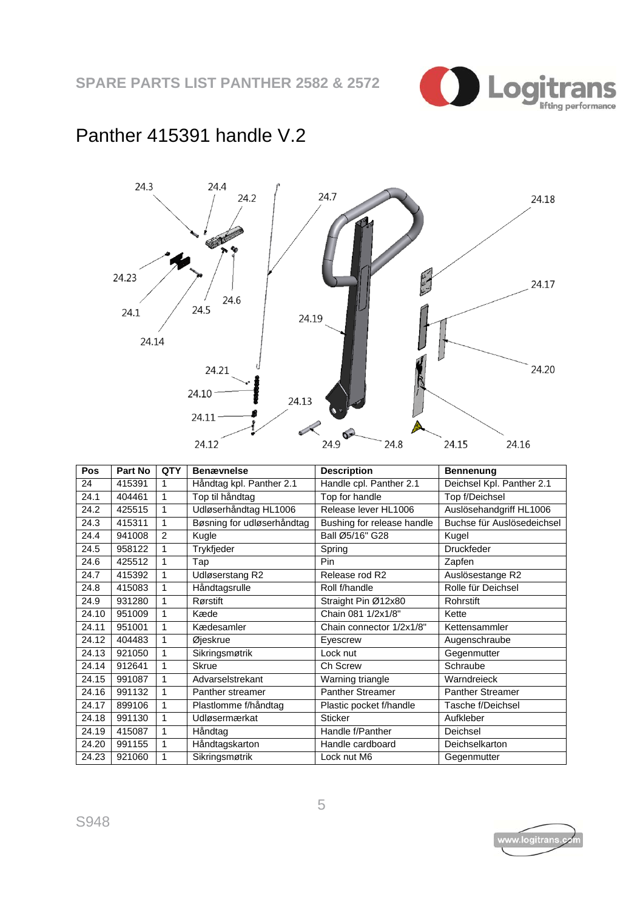

#### 24.3 24.4 24.7  $24.2$ 24.18 24.23 ستان بالا<br>منابع المنابع 24.17 24.6 24.5 24.1 24.19 24.14 24.20 24.21  $24.10 -$ 24.13  $24.11$  $\sim$  $24.9$ 24.12 24.8 24.15 24.16

| Panther 415391 handle V.2 |  |
|---------------------------|--|
|---------------------------|--|

| Pos   | Part No | <b>QTY</b>     | <b>Benævnelse</b>          | <b>Description</b>         | <b>Bennenung</b>           |
|-------|---------|----------------|----------------------------|----------------------------|----------------------------|
| 24    | 415391  | 1              | Håndtag kpl. Panther 2.1   | Handle cpl. Panther 2.1    | Deichsel Kpl. Panther 2.1  |
| 24.1  | 404461  | 1              | Top til håndtag            | Top for handle             | Top f/Deichsel             |
| 24.2  | 425515  | 1              | Udløserhåndtag HL1006      | Release lever HL1006       | Auslösehandgriff HL1006    |
| 24.3  | 415311  | 1              | Bøsning for udløserhåndtag | Bushing for release handle | Buchse für Auslösedeichsel |
| 24.4  | 941008  | $\overline{2}$ | Kugle                      | Ball Ø5/16" G28            | Kugel                      |
| 24.5  | 958122  | 1              | Trykfjeder                 | Spring                     | <b>Druckfeder</b>          |
| 24.6  | 425512  | 1              | Tap                        | Pin                        | Zapfen                     |
| 24.7  | 415392  | 1              | Udløserstang R2            | Release rod R2             | Auslösestange R2           |
| 24.8  | 415083  | 1              | Håndtagsrulle              | Roll f/handle              | Rolle für Deichsel         |
| 24.9  | 931280  | 1              | Rørstift                   | Straight Pin Ø12x80        | Rohrstift                  |
| 24.10 | 951009  | 1              | Kæde                       | Chain 081 1/2x1/8"         | Kette                      |
| 24.11 | 951001  | 1              | Kædesamler                 | Chain connector 1/2x1/8"   | Kettensammler              |
| 24.12 | 404483  | 1              | Øjeskrue                   | Eyescrew                   | Augenschraube              |
| 24.13 | 921050  | 1              | Sikringsmøtrik             | Lock nut                   | Gegenmutter                |
| 24.14 | 912641  | 1              | <b>Skrue</b>               | Ch Screw                   | Schraube                   |
| 24.15 | 991087  | 1              | Advarselstrekant           | Warning triangle           | Warndreieck                |
| 24.16 | 991132  | 1              | Panther streamer           | <b>Panther Streamer</b>    | <b>Panther Streamer</b>    |
| 24.17 | 899106  | 1              | Plastlomme f/håndtag       | Plastic pocket f/handle    | Tasche f/Deichsel          |
| 24.18 | 991130  | 1              | Udløsermærkat              | <b>Sticker</b>             | Aufkleber                  |
| 24.19 | 415087  | 1              | Håndtag                    | Handle f/Panther           | Deichsel                   |
| 24.20 | 991155  | 1              | Håndtagskarton             | Handle cardboard           | Deichselkarton             |
| 24.23 | 921060  | 1              | Sikringsmøtrik             | Lock nut M6                | Gegenmutter                |

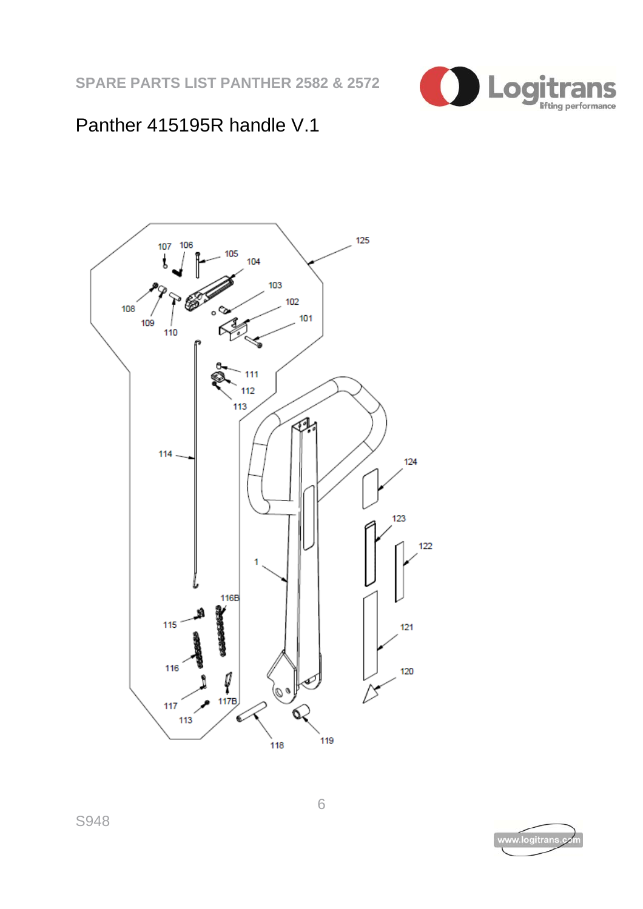

### Panther 415195R handle V.1



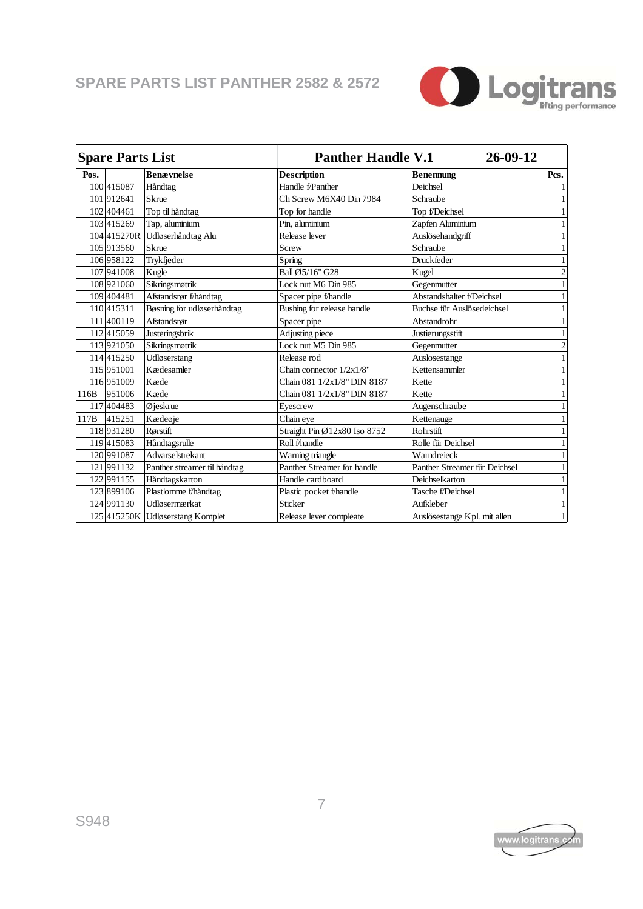

| <b>Spare Parts List</b> |             |                                  |                              | 26-09-12<br><b>Panther Handle V.1</b> |                |  |  |
|-------------------------|-------------|----------------------------------|------------------------------|---------------------------------------|----------------|--|--|
| Pos.                    |             | <b>Benævnelse</b>                | <b>Description</b>           | <b>Benennung</b>                      | Pcs.           |  |  |
|                         | 100 415087  | Håndtag                          | Handle f/Panther             | Deichsel                              | 1              |  |  |
|                         | 101912641   | <b>Skrue</b>                     | Ch Screw M6X40 Din 7984      | Schraube                              | $\mathbf{1}$   |  |  |
|                         | 102 404 461 | Top til håndtag                  | Top for handle               | Top f/Deichsel                        | 1              |  |  |
|                         | 103 415269  | Tap, aluminium                   | Pin, aluminium               | Zapfen Aluminium                      | 1              |  |  |
|                         | 104415270R  | Udløserhåndtag Alu               | Release lever                | Auslösehandgriff                      | 1              |  |  |
|                         | 105 913560  | Skrue                            | Screw                        | Schraube                              | $\mathbf{1}$   |  |  |
|                         | 106 958122  | Trykfieder                       | Spring                       | <b>Druckfeder</b>                     | $\mathbf{1}$   |  |  |
|                         | 107 941008  | Kugle                            | Ball Ø5/16" G28              | Kugel                                 | $\overline{c}$ |  |  |
|                         | 108 921060  | Sikringsmøtrik                   | Lock nut M6 Din 985          | Gegenmutter                           | 1              |  |  |
|                         | 109 404481  | Afstandsrør f/håndtag            | Spacer pipe f/handle         | Abstandshalter f/Deichsel             | 1              |  |  |
|                         | 110 415311  | Bøsning for udløserhåndtag       | Bushing for release handle   | Buchse für Auslösedeichsel            | 1              |  |  |
|                         | 111400119   | Afstandsrør                      | Spacer pipe                  | Abstandrohr                           | 1              |  |  |
|                         | 112415059   | Justeringsbrik                   | Adjusting piece              | Justierungsstift                      | 1              |  |  |
|                         | 113 921050  | Sikringsmøtrik                   | Lock nut M5 Din 985          | Gegenmutter                           | $\overline{c}$ |  |  |
|                         | 114415250   | Udløserstang                     | Release rod                  | Auslosestange                         | 1              |  |  |
|                         | 115 951001  | Kædesamler                       | Chain connector $1/2x1/8$ "  | Kettensammler                         | 1              |  |  |
|                         | 116 951009  | Kæde                             | Chain 081 1/2x1/8" DIN 8187  | Kette                                 |                |  |  |
| 116B                    | 951006      | Kæde                             | Chain 081 1/2x1/8" DIN 8187  | Kette                                 | $\mathbf{1}$   |  |  |
|                         | 117 404483  | Øjeskrue                         | Evescrew                     | Augenschraube                         | $\mathbf{1}$   |  |  |
| 117B                    | 415251      | Kædeøje                          | Chain eye                    | Kettenauge                            | 1              |  |  |
|                         | 118 931280  | Rørstift                         | Straight Pin Ø12x80 Iso 8752 | <b>Rohrstift</b>                      | 1              |  |  |
|                         | 119415083   | Håndtagsrulle                    | Roll f/handle                | Rolle für Deichsel                    | 1              |  |  |
|                         | 120 991087  | Advarselstrekant                 | Warning triangle             | Warndreieck                           | 1              |  |  |
|                         | 121991132   | Panther streamer til håndtag     | Panther Streamer for handle  | Panther Streamer für Deichsel         | 1              |  |  |
|                         | 122 991155  | Håndtagskarton                   | Handle cardboard             | Deichselkarton                        | 1              |  |  |
|                         | 123 899106  | Plastlomme f/håndtag             | Plastic pocket f/handle      | Tasche f/Deichsel                     | $\mathbf{1}$   |  |  |
|                         | 124 991130  | Udløsermærkat                    | Sticker                      | <b>Aufkleber</b>                      | 1              |  |  |
|                         |             | 125 415250K Udløserstang Komplet | Release lever compleate      | Auslösestange Kpl. mit allen          | 1              |  |  |

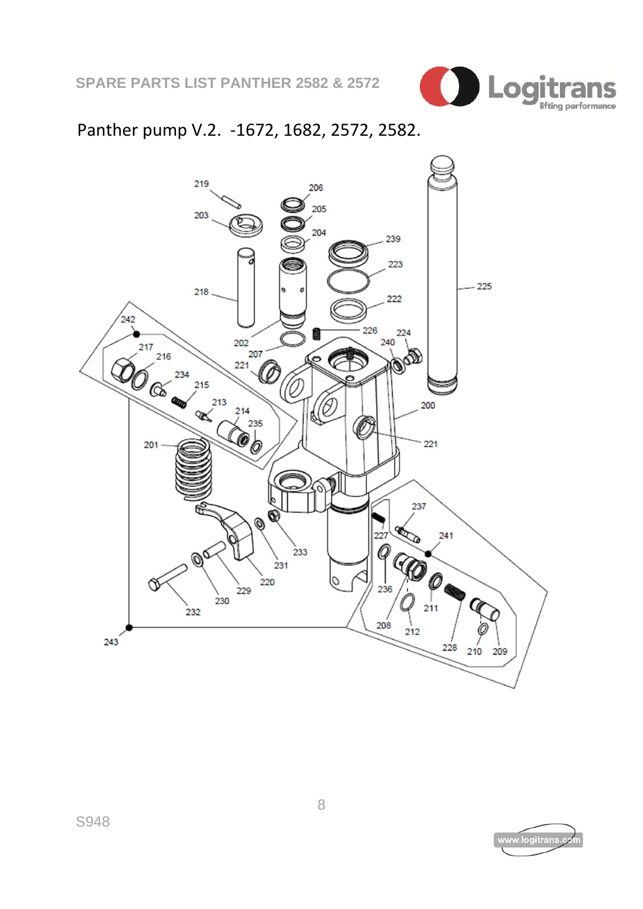

### Panther pump V.2. ‐1672, 1682, 2572, 2582.



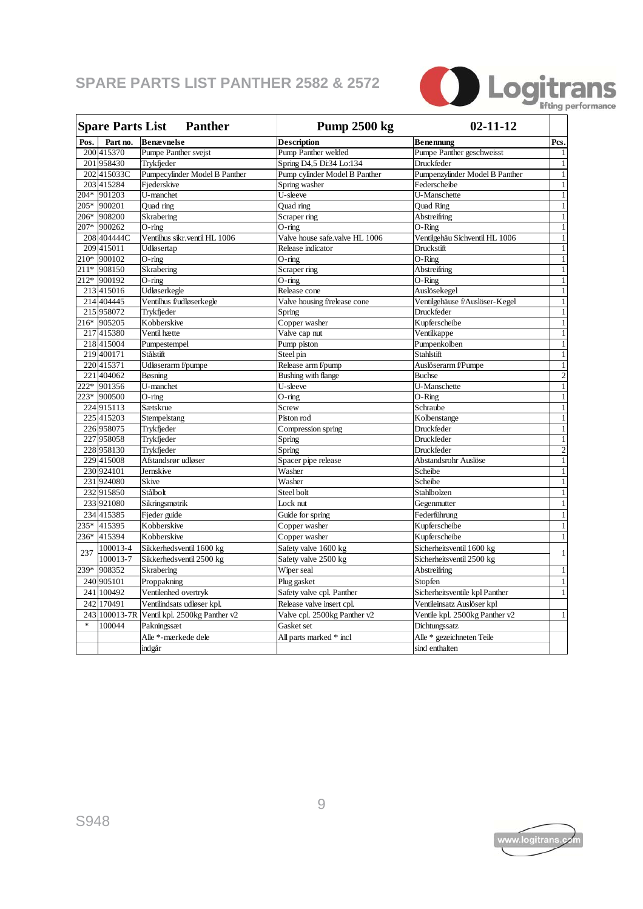

| <b>Spare Parts List</b><br><b>Panther</b> |             |                                             | <b>Pump 2500 kg</b>            | $02 - 11 - 12$                 |                |
|-------------------------------------------|-------------|---------------------------------------------|--------------------------------|--------------------------------|----------------|
| Pos.                                      | Part no.    | <b>Benævnelse</b>                           | <b>Description</b>             | <b>Benennung</b>               | Pcs.           |
|                                           | 200 415370  | Pumpe Panther svejst                        | Pump Panther welded            | Pumpe Panther geschweisst      | $\mathbf{1}$   |
|                                           | 201 958430  | Trykfieder                                  | Spring D4,5 Di:34 Lo:134       | Druckfeder                     | $\mathbf{1}$   |
|                                           | 202 415033C | Pumpecylinder Model B Panther               | Pump cylinder Model B Panther  | Pumpenzylinder Model B Panther | $\mathbf{1}$   |
|                                           | 203 415284  | Fjederskive                                 | Spring washer                  | Federscheibe                   | $\mathbf{1}$   |
|                                           | 204* 901203 | U-manchet                                   | U-sleeve                       | U-Manschette                   | $\mathbf{1}$   |
|                                           | 205* 900201 | Quad ring                                   | Quad ring                      | Quad Ring                      | $\mathbf{1}$   |
|                                           | 206* 908200 | Skrabering                                  | Scraper ring                   | Abstreifring                   | $\mathbf{1}$   |
|                                           | 207* 900262 | $O$ -ring                                   | $O$ -ring                      | $O-Ring$                       | $\mathbf{1}$   |
|                                           | 208 404444C | Ventilhus sikr.ventil HL 1006               | Valve house safe.valve HL 1006 | Ventilgehäu Sichventil HL 1006 | $\mathbf{1}$   |
|                                           | 209 415011  | Udløsertap                                  | Release indicator              | Druckstift                     | 1              |
|                                           | 210* 900102 | $O$ -ring                                   | $O$ -ring                      | $O-Ring$                       | $\mathbf{1}$   |
|                                           | 211* 908150 | Skrabering                                  | Scraper ring                   | <b>Abstreifring</b>            | $\mathbf{1}$   |
|                                           | 212* 900192 | $O$ -ring                                   | $O$ -ring                      | $O-Ring$                       | $\mathbf{1}$   |
|                                           | 213 415016  | Udløserkegle                                | Release cone                   | Auslösekegel                   | $\mathbf{1}$   |
|                                           | 214 404445  | Ventilhus f/udløserkegle                    | Valve housing f/release cone   | Ventilgehäuse f/Auslöser-Kegel | $\mathbf{1}$   |
|                                           | 215 958072  | Trykfjeder                                  | Spring                         | Druckfeder                     | 1              |
|                                           | 216* 905205 | Kobberskive                                 | Copper washer                  | Kupferscheibe                  | $\mathbf{1}$   |
|                                           | 217 415380  | Ventil hætte                                | Valve cap nut                  | Ventilkappe                    | $\mathbf{1}$   |
|                                           | 218 415004  | Pumpestempel                                | Pump piston                    | Pumpenkolben                   | $\mathbf{1}$   |
|                                           | 219 400171  | Stålstift                                   | Steel pin                      | Stahlstift                     | $\mathbf{1}$   |
|                                           | 220 415371  | Udløserarm f/pumpe                          | Release arm f/pump             | Auslöserarm f/Pumpe            | $\mathbf{1}$   |
|                                           | 221 404062  | Bøsning                                     | Bushing with flange            | <b>Buchse</b>                  | $\overline{2}$ |
|                                           | 222* 901356 | U-manchet                                   | U-sleeve                       | U-Manschette                   | $\mathbf{1}$   |
|                                           | 223* 900500 | $O$ -ring                                   | $O$ -ring                      | O-Ring                         | $\mathbf{1}$   |
|                                           | 224 915113  | Sætskrue                                    | Screw                          | Schraube                       | $\mathbf{1}$   |
|                                           | 225 415203  | Stempelstang                                | Piston rod                     | Kolbenstange                   | $\mathbf{1}$   |
|                                           | 226 958075  | Trykfjeder                                  | Compression spring             | Druckfeder                     | $\mathbf{1}$   |
|                                           | 227 958058  | Trykfjeder                                  | Spring                         | Druckfeder                     | $\mathbf{1}$   |
|                                           | 228 958130  | Trykfieder                                  | Spring                         | Druckfeder                     | $\overline{2}$ |
|                                           | 229 415008  | Afstandsrør udløser                         | Spacer pipe release            | Abstandsrohr Auslöse           | $\mathbf{1}$   |
|                                           | 230 924101  | Jernskive                                   | Washer                         | Scheibe                        | $\mathbf{1}$   |
|                                           | 231 924080  | <b>Skive</b>                                | Washer                         | Scheibe                        | $\mathbf{1}$   |
|                                           | 232 915850  | Stålbolt                                    | Steel bolt                     | Stahlbolzen                    | $\mathbf{1}$   |
|                                           | 233 921080  | Sikringsmøtrik                              | Lock nut                       | Gegenmutter                    | $\mathbf{1}$   |
|                                           | 234 415385  | Fjeder guide                                | Guide for spring               | Federführung                   | $\mathbf{1}$   |
| 235*                                      | 415395      | Kobberskive                                 | Copper washer                  | Kupferscheibe                  | $\,1\,$        |
| 236*                                      | 415394      | Kobberskive                                 | Copper washer                  | Kupferscheibe                  | $\mathbf{1}$   |
| 237                                       | 100013-4    | Sikkerhedsventil 1600 kg                    | Safety valve 1600 kg           | Sicherheitsventil 1600 kg      | 1              |
|                                           | 100013-7    | Sikkerhedsventil 2500 kg                    | Safety valve 2500 kg           | Sicherheitsventil 2500 kg      |                |
| 239*                                      | 908352      | Skrabering                                  | Wiper seal                     | Abstreifring                   | $\mathbf{1}$   |
|                                           | 240 905101  | Proppakning                                 | Plug gasket                    | Stopfen                        | $\mathbf{1}$   |
|                                           | 241 100492  | Ventilenhed overtryk                        | Safety valve cpl. Panther      | Sicherheitsventile kpl Panther | 1              |
|                                           | 242 170491  | Ventilindsats udløser kpl.                  | Release valve insert cpl.      | Ventileinsatz Auslöser kpl     |                |
|                                           |             | 243 100013-7R Ventil kpl. 2500kg Panther v2 | Valve cpl. 2500kg Panther v2   | Ventile kpl. 2500kg Panther v2 | $\,1\,$        |
| $\ast$                                    | 100044      | Pakningssæt                                 | Gasket set                     | Dichtungssatz                  |                |
|                                           |             | Alle *-mærkede dele                         | All parts marked * incl        | Alle * gezeichneten Teile      |                |
|                                           |             | indgår                                      |                                | sind enthalten                 |                |
|                                           |             |                                             |                                |                                |                |



r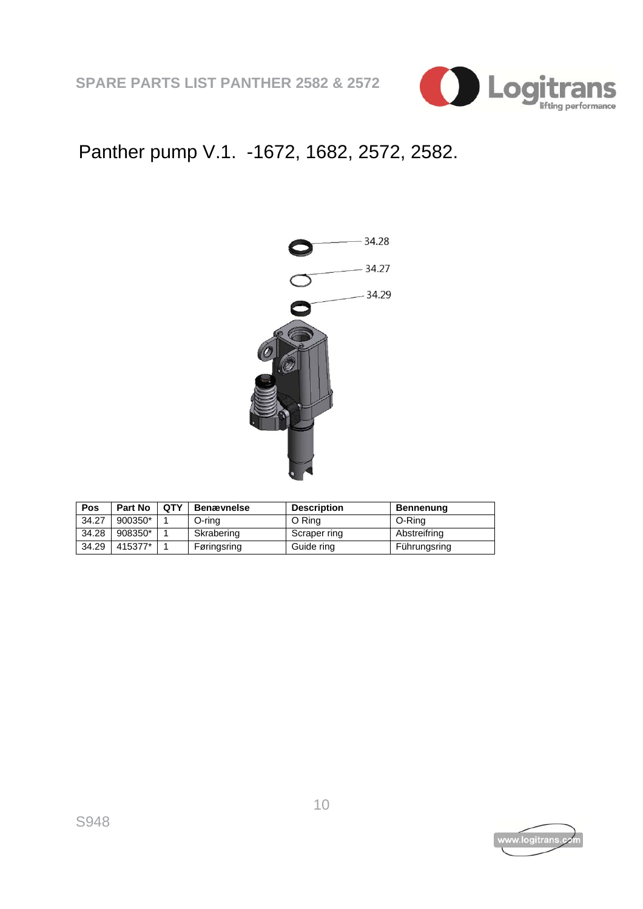

## Panther pump V.1. -1672, 1682, 2572, 2582.



| Pos   | Part No | <b>OTY</b> | <b>Benævnelse</b> | <b>Description</b> | Bennenung    |
|-------|---------|------------|-------------------|--------------------|--------------|
| 34.27 | 900350* |            | O-ring            | O Ring             | O-Ring       |
| 34.28 | 908350* |            | Skrabering        | Scraper ring       | Abstreifring |
| 34.29 | 415377* |            | Føringsring       | Guide ring         | Führungsring |